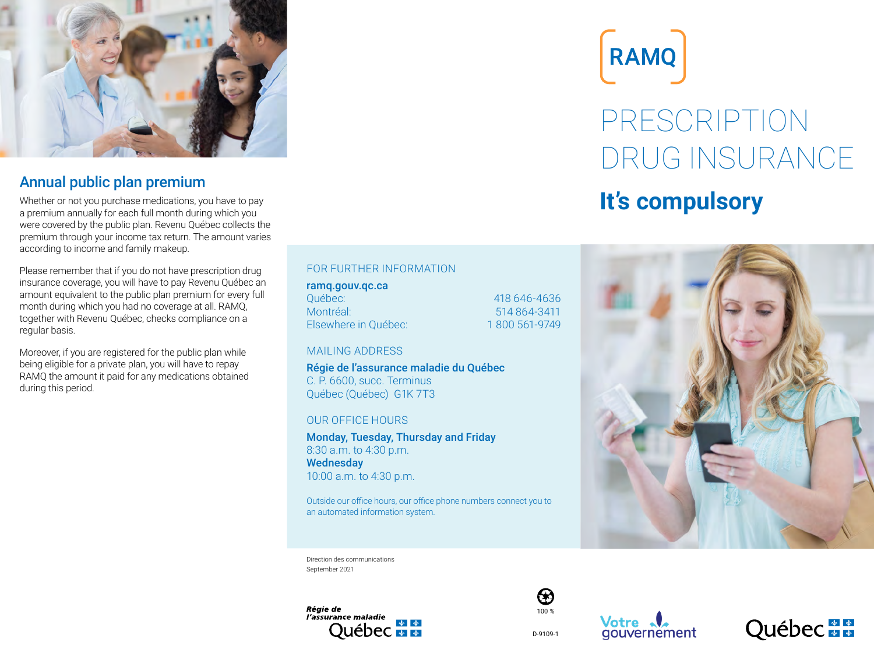

### Annual public plan premium

Whether or not you purchase medications, you have to pay a premium annually for each full month during which you were covered by the public plan. Revenu Québec collects the premium through your income tax return. The amount varies according to income and family makeup.

Please remember that if you do not have prescription drug insurance coverage, you will have to pay Revenu Québec an amount equivalent to the public plan premium for every full month during which you had no coverage at all. RAMQ, together with Revenu Québec, checks compliance on a regular basis.

Moreover, if you are registered for the public plan while being eligible for a private plan, you will have to repay RAMQ the amount it paid for any medications obtained during this period.

#### FOR FURTHER INFORMATION

#### ramq.gouv.qc.ca

Québec: 418 646-4636 Montréal: 514 864-3411 Elsewhere in Québec: 1800 561-9749

#### MAILING ADDRESS

Régie de l'assurance maladie du Québec C. P. 6600, succ. Terminus Québec (Québec) G1K 7T3

#### OUR OFFICE HOURS

Monday, Tuesday, Thursday and Friday 8:30 a.m. to 4:30 p.m. **Wednesday** 10:00 a.m. to 4:30 p.m.

Outside our office hours, our office phone numbers connect you to an automated information system.

Direction des communications September 2021









PRESCRIPTION DRUG INSURANCE

# **It's compulsory**

RAMQ